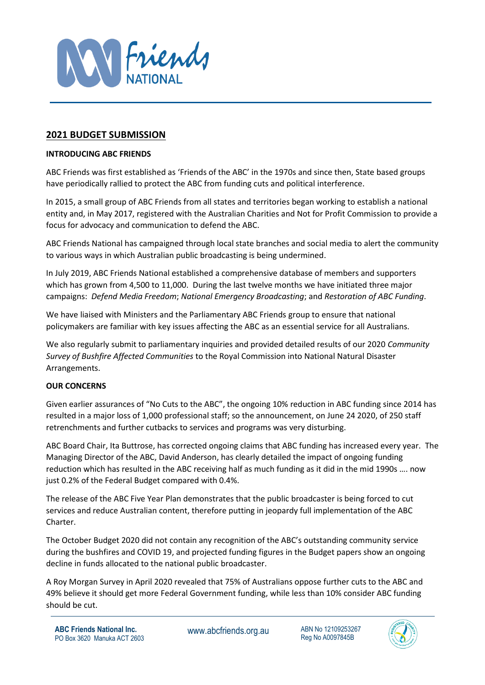

# **2021 BUDGET SUBMISSION**

### **INTRODUCING ABC FRIENDS**

ABC Friends was first established as 'Friends of the ABC' in the 1970s and since then, State based groups have periodically rallied to protect the ABC from funding cuts and political interference.

In 2015, a small group of ABC Friends from all states and territories began working to establish a national entity and, in May 2017, registered with the Australian Charities and Not for Profit Commission to provide a focus for advocacy and communication to defend the ABC.

ABC Friends National has campaigned through local state branches and social media to alert the community to various ways in which Australian public broadcasting is being undermined.

In July 2019, ABC Friends National established a comprehensive database of members and supporters which has grown from 4,500 to 11,000. During the last twelve months we have initiated three major campaigns: *Defend Media Freedom*; *National Emergency Broadcasting*; and *Restoration of ABC Funding*.

We have liaised with Ministers and the Parliamentary ABC Friends group to ensure that national policymakers are familiar with key issues affecting the ABC as an essential service for all Australians.

We also regularly submit to parliamentary inquiries and provided detailed results of our 2020 *Community Survey of Bushfire Affected Communities* to the Royal Commission into National Natural Disaster Arrangements.

## **OUR CONCERNS**

Given earlier assurances of "No Cuts to the ABC", the ongoing 10% reduction in ABC funding since 2014 has resulted in a major loss of 1,000 professional staff; so the announcement, on June 24 2020, of 250 staff retrenchments and further cutbacks to services and programs was very disturbing.

ABC Board Chair, Ita Buttrose, has corrected ongoing claims that ABC funding has increased every year. The Managing Director of the ABC, David Anderson, has clearly detailed the impact of ongoing funding reduction which has resulted in the ABC receiving half as much funding as it did in the mid 1990s …. now just 0.2% of the Federal Budget compared with 0.4%.

The release of the ABC Five Year Plan demonstrates that the public broadcaster is being forced to cut services and reduce Australian content, therefore putting in jeopardy full implementation of the ABC Charter.

The October Budget 2020 did not contain any recognition of the ABC's outstanding community service during the bushfires and COVID 19, and projected funding figures in the Budget papers show an ongoing decline in funds allocated to the national public broadcaster.

A Roy Morgan Survey in April 2020 revealed that 75% of Australians oppose further cuts to the ABC and 49% believe it should get more Federal Government funding, while less than 10% consider ABC funding should be cut.

Reg No A0097845B

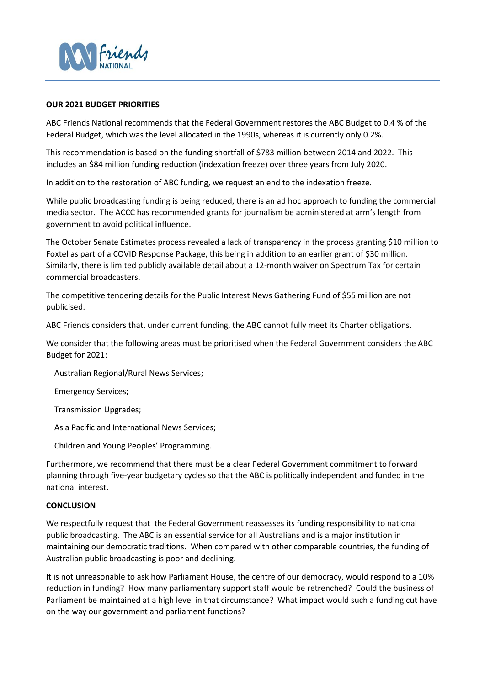

#### **OUR 2021 BUDGET PRIORITIES**

ABC Friends National recommends that the Federal Government restores the ABC Budget to 0.4 % of the Federal Budget, which was the level allocated in the 1990s, whereas it is currently only 0.2%.

This recommendation is based on the funding shortfall of \$783 million between 2014 and 2022. This includes an \$84 million funding reduction (indexation freeze) over three years from July 2020.

In addition to the restoration of ABC funding, we request an end to the indexation freeze.

While public broadcasting funding is being reduced, there is an ad hoc approach to funding the commercial media sector. The ACCC has recommended grants for journalism be administered at arm's length from government to avoid political influence.

The October Senate Estimates process revealed a lack of transparency in the process granting \$10 million to Foxtel as part of a COVID Response Package, this being in addition to an earlier grant of \$30 million. Similarly, there is limited publicly available detail about a 12-month waiver on Spectrum Tax for certain commercial broadcasters.

The competitive tendering details for the Public Interest News Gathering Fund of \$55 million are not publicised.

ABC Friends considers that, under current funding, the ABC cannot fully meet its Charter obligations.

We consider that the following areas must be prioritised when the Federal Government considers the ABC Budget for 2021:

Australian Regional/Rural News Services;

Emergency Services;

Transmission Upgrades;

Asia Pacific and International News Services;

Children and Young Peoples' Programming.

Furthermore, we recommend that there must be a clear Federal Government commitment to forward planning through five-year budgetary cycles so that the ABC is politically independent and funded in the national interest.

#### **CONCLUSION**

We respectfully request that the Federal Government reassesses its funding responsibility to national public broadcasting. The ABC is an essential service for all Australians and is a major institution in maintaining our democratic traditions. When compared with other comparable countries, the funding of Australian public broadcasting is poor and declining.

It is not unreasonable to ask how Parliament House, the centre of our democracy, would respond to a 10% reduction in funding? How many parliamentary support staff would be retrenched? Could the business of Parliament be maintained at a high level in that circumstance? What impact would such a funding cut have on the way our government and parliament functions?